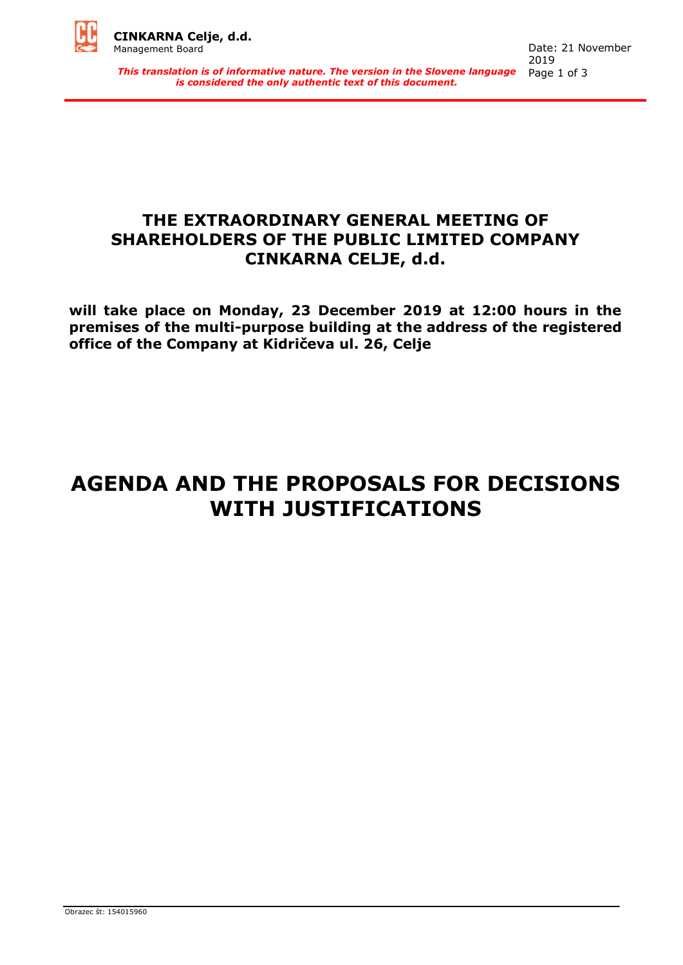

*This translation is of informative nature. The version in the Slovene language is considered the only authentic text of this document.*

### **THE EXTRAORDINARY GENERAL MEETING OF SHAREHOLDERS OF THE PUBLIC LIMITED COMPANY CINKARNA CELJE, d.d.**

**will take place on Monday, 23 December 2019 at 12:00 hours in the premises of the multi-purpose building at the address of the registered office of the Company at Kidričeva ul. 26, Celje**

# **AGENDA AND THE PROPOSALS FOR DECISIONS WITH JUSTIFICATIONS**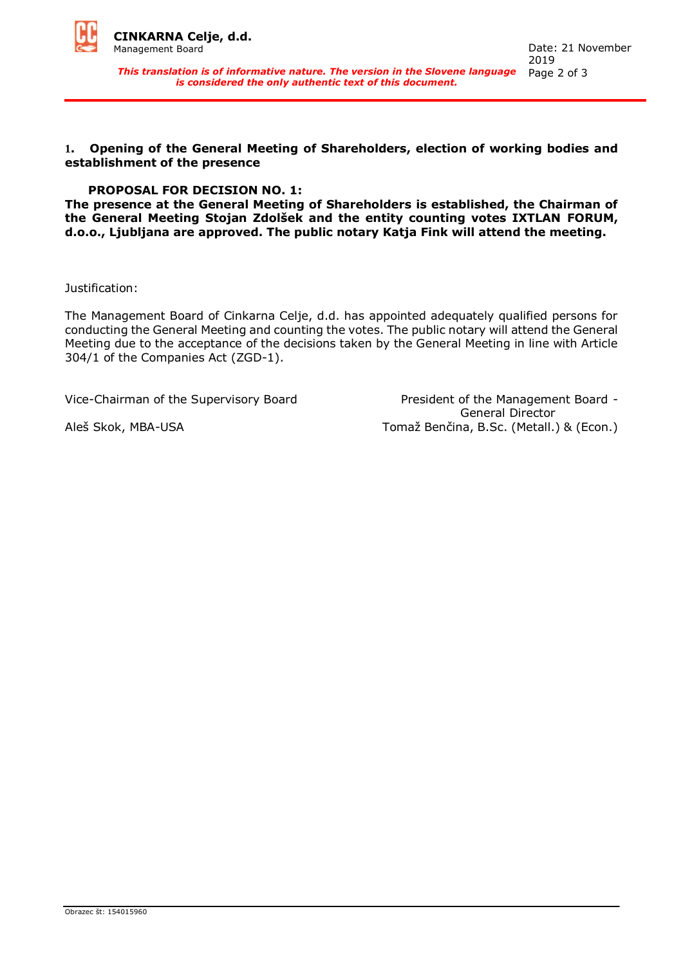

*This translation is of informative nature. The version in the Slovene language is considered the only authentic text of this document.*

**1. Opening of the General Meeting of Shareholders, election of working bodies and establishment of the presence** 

#### **PROPOSAL FOR DECISION NO. 1:**

**The presence at the General Meeting of Shareholders is established, the Chairman of the General Meeting Stojan Zdolšek and the entity counting votes IXTLAN FORUM, d.o.o., Ljubljana are approved. The public notary Katja Fink will attend the meeting.**

Justification:

The Management Board of Cinkarna Celje, d.d. has appointed adequately qualified persons for conducting the General Meeting and counting the votes. The public notary will attend the General Meeting due to the acceptance of the decisions taken by the General Meeting in line with Article 304/1 of the Companies Act (ZGD-1).

Vice-Chairman of the Supervisory Board President of the Management Board - General Director Aleš Skok, MBA-USA Tomaž Benčina, B.Sc. (Metall.) & (Econ.)